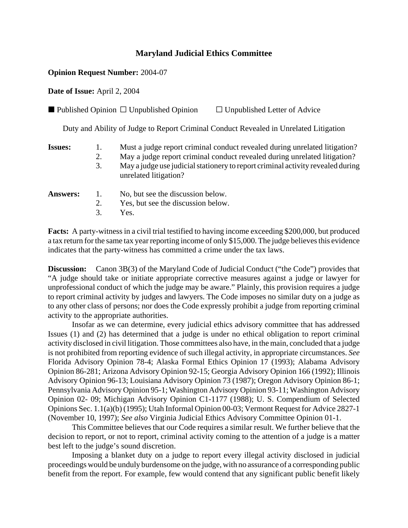## **Maryland Judicial Ethics Committee**

## **Opinion Request Number:** 2004-07

**Date of Issue:** April 2, 2004

| $\blacksquare$ Published Opinion $\Box$ Unpublished Opinion | $\Box$ Unpublished Letter of Advice |
|-------------------------------------------------------------|-------------------------------------|
|-------------------------------------------------------------|-------------------------------------|

Duty and Ability of Judge to Report Criminal Conduct Revealed in Unrelated Litigation

- **Issues:** 1. Must a judge report criminal conduct revealed during unrelated litigation?
	- 2. May a judge report criminal conduct revealed during unrelated litigation?
	- 3. May a judge use judicial stationery to report criminal activity revealed during unrelated litigation?

| Answers: 1. | No, but see the discussion below.  |
|-------------|------------------------------------|
|             | Yes, but see the discussion below. |
|             | $3.$ Yes.                          |

**Facts:** A party-witness in a civil trial testified to having income exceeding \$200,000, but produced a tax return for the same tax year reporting income of only \$15,000. The judge believes this evidence indicates that the party-witness has committed a crime under the tax laws.

**Discussion:** Canon 3B(3) of the Maryland Code of Judicial Conduct ("the Code") provides that "A judge should take or initiate appropriate corrective measures against a judge or lawyer for unprofessional conduct of which the judge may be aware." Plainly, this provision requires a judge to report criminal activity by judges and lawyers. The Code imposes no similar duty on a judge as to any other class of persons; nor does the Code expressly prohibit a judge from reporting criminal activity to the appropriate authorities.

Insofar as we can determine, every judicial ethics advisory committee that has addressed Issues (1) and (2) has determined that a judge is under no ethical obligation to report criminal activity disclosed in civil litigation. Those committees also have, in the main, concluded that a judge is not prohibited from reporting evidence of such illegal activity, in appropriate circumstances. *See* Florida Advisory Opinion 78-4; Alaska Formal Ethics Opinion 17 (1993); Alabama Advisory Opinion 86-281; Arizona Advisory Opinion 92-15; Georgia Advisory Opinion 166 (1992); Illinois Advisory Opinion 96-13; Louisiana Advisory Opinion 73 (1987); Oregon Advisory Opinion 86-1; Pennsylvania Advisory Opinion 95-1; Washington Advisory Opinion 93-11; Washington Advisory Opinion 02- 09; Michigan Advisory Opinion C1-1177 (1988); U. S. Compendium of Selected Opinions Sec. 1.1(a)(b) (1995); Utah Informal Opinion 00-03; Vermont Request for Advice 2827-1 (November 10, 1997); *See also* Virginia Judicial Ethics Advisory Committee Opinion 01-1.

This Committee believes that our Code requires a similar result. We further believe that the decision to report, or not to report, criminal activity coming to the attention of a judge is a matter best left to the judge's sound discretion.

Imposing a blanket duty on a judge to report every illegal activity disclosed in judicial proceedings would be unduly burdensome on the judge, with no assurance of a corresponding public benefit from the report. For example, few would contend that any significant public benefit likely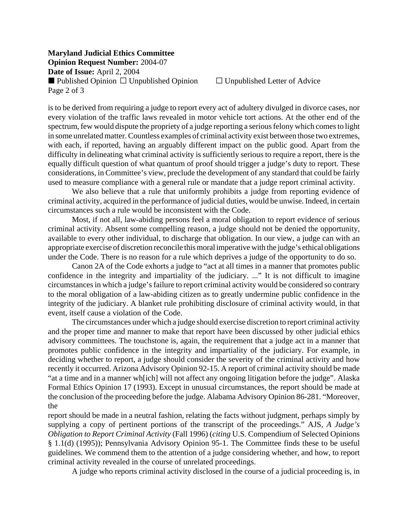## **Maryland Judicial Ethics Committee Opinion Request Number:** 2004-07 **Date of Issue:** April 2, 2004 Published Opinion  $\Box$  Unpublished Opinion  $\Box$  Unpublished Letter of Advice Page 2 of 3

is to be derived from requiring a judge to report every act of adultery divulged in divorce cases, nor every violation of the traffic laws revealed in motor vehicle tort actions. At the other end of the spectrum, few would dispute the propriety of a judge reporting a serious felony which comes to light in some unrelated matter. Countless examples of criminal activity exist between those two extremes, with each, if reported, having an arguably different impact on the public good. Apart from the difficulty in delineating what criminal activity is sufficiently serious to require a report, there is the equally difficult question of what quantum of proof should trigger a judge's duty to report. These considerations, in Committee's view, preclude the development of any standard that could be fairly used to measure compliance with a general rule or mandate that a judge report criminal activity.

We also believe that a rule that uniformly prohibits a judge from reporting evidence of criminal activity, acquired in the performance of judicial duties, would be unwise. Indeed, in certain circumstances such a rule would be inconsistent with the Code.

Most, if not all, law-abiding persons feel a moral obligation to report evidence of serious criminal activity. Absent some compelling reason, a judge should not be denied the opportunity, available to every other individual, to discharge that obligation. In our view, a judge can with an appropriate exercise of discretion reconcile this moral imperative with the judge's ethical obligations under the Code. There is no reason for a rule which deprives a judge of the opportunity to do so.

Canon 2A of the Code exhorts a judge to "act at all times in a manner that promotes public confidence in the integrity and impartiality of the judiciary. ..." It is not difficult to imagine circumstances in which a judge's failure to report criminal activity would be considered so contrary to the moral obligation of a law-abiding citizen as to greatly undermine public confidence in the integrity of the judiciary. A blanket rule prohibiting disclosure of criminal activity would, in that event, itself cause a violation of the Code.

The circumstances under which a judge should exercise discretion to report criminal activity and the proper time and manner to make that report have been discussed by other judicial ethics advisory committees. The touchstone is, again, the requirement that a judge act in a manner that promotes public confidence in the integrity and impartiality of the judiciary. For example, in deciding whether to report, a judge should consider the severity of the criminal activity and how recently it occurred. Arizona Advisory Opinion 92-15. A report of criminal activity should be made "at a time and in a manner wh[ich] will not affect any ongoing litigation before the judge". Alaska Formal Ethics Opinion 17 (1993). Except in unusual circumstances, the report should be made at the conclusion of the proceeding before the judge. Alabama Advisory Opinion 86-281. "Moreover, the

report should be made in a neutral fashion, relating the facts without judgment, perhaps simply by supplying a copy of pertinent portions of the transcript of the proceedings." AJS, *A Judge's Obligation to Report Criminal Activity* (Fall 1996) (*citing* U.S. Compendium of Selected Opinions § 1.1(d) (1995)); Pennsylvania Advisory Opinion 95-1. The Committee finds these to be useful guidelines. We commend them to the attention of a judge considering whether, and how, to report criminal activity revealed in the course of unrelated proceedings.

A judge who reports criminal activity disclosed in the course of a judicial proceeding is, in